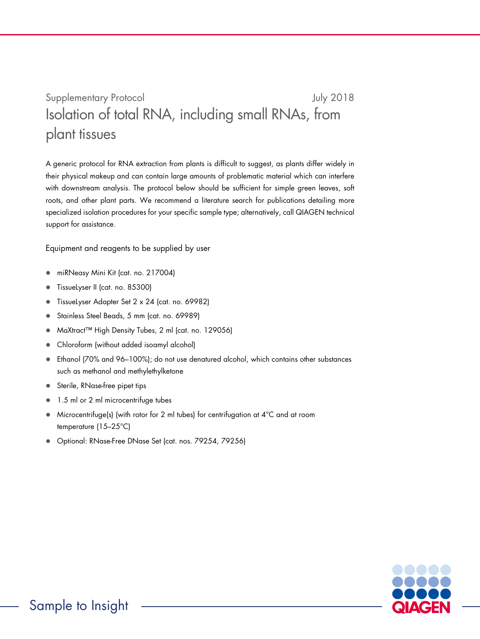## Supplementary Protocol and Tuly 2018 Isolation of total RNA, including small RNAs, from plant tissues

A generic protocol for RNA extraction from plants is difficult to suggest, as plants differ widely in their physical makeup and can contain large amounts of problematic material which can interfere with downstream analysis. The protocol below should be sufficient for simple green leaves, soft roots, and other plant parts. We recommend a literature search for publications detailing more specialized isolation procedures for your specific sample type; alternatively, call QIAGEN technical support for assistance.

Equipment and reagents to be supplied by user

- miRNeasy Mini Kit (cat. no. 217004)
- TissueLyser II (cat. no. 85300)
- TissueLyser Adapter Set 2 x 24 (cat. no. 69982)
- Stainless Steel Beads, 5 mm (cat. no. 69989)
- MaXtract™ High Density Tubes, 2 ml (cat. no. 129056)
- Chloroform (without added isoamyl alcohol)
- Ethanol (70% and 96–100%); do not use denatured alcohol, which contains other substances such as methanol and methylethylketone
- Sterile, RNase-free pipet tips
- 1.5 ml or 2 ml microcentrifuge tubes
- Microcentrifuge(s) (with rotor for 2 ml tubes) for centrifugation at 4°C and at room temperature (15–25°C)
- Optional: RNase-Free DNase Set (cat. nos. 79254, 79256)

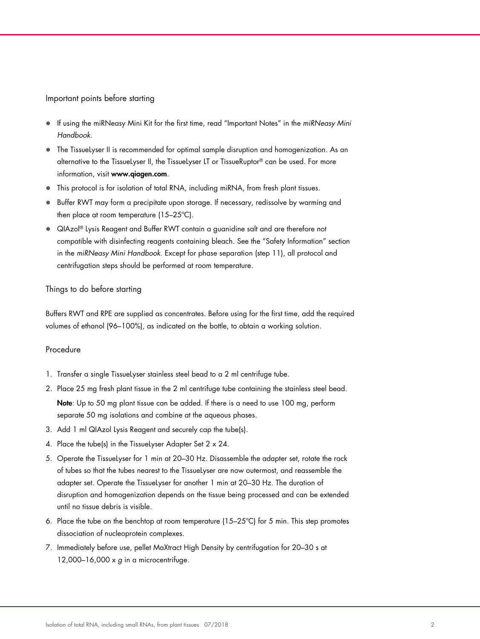Important points before starting

- If using the miRNeasy Mini Kit for the first time, read "Important Notes" in the miRNeasy Mini Handbook.
- The TissueLyser II is recommended for optimal sample disruption and homogenization. As an alternative to the TissueLyser II, the TissueLyser LT or TissueRuptor® can be used. For more information, visit www.qiagen.com.
- This protocol is for isolation of total RNA, including miRNA, from fresh plant tissues.
- **Buffer RWT may form a precipitate upon storage. If necessary, redissolve by warming and** then place at room temperature (15–25ºC).
- QIAzol® Lysis Reagent and Buffer RWT contain a guanidine salt and are therefore not compatible with disinfecting reagents containing bleach. See the "Safety Information" section in the miRNeasy Mini Handbook. Except for phase separation (step 11), all protocol and centrifugation steps should be performed at room temperature.

## Things to do before starting

Buffers RWT and RPE are supplied as concentrates. Before using for the first time, add the required volumes of ethanol (96–100%), as indicated on the bottle, to obtain a working solution.

## Procedure

- 1. Transfer a single TissueLyser stainless steel bead to a 2 ml centrifuge tube.
- 2. Place 25 mg fresh plant tissue in the 2 ml centrifuge tube containing the stainless steel bead. Note: Up to 50 mg plant tissue can be added. If there is a need to use 100 mg, perform separate 50 mg isolations and combine at the aqueous phases.
- 3. Add 1 ml QIAzol Lysis Reagent and securely cap the tube(s).
- 4. Place the tube(s) in the TissueLyser Adapter Set 2 x 24.
- 5. Operate the TissueLyser for 1 min at 20–30 Hz. Disassemble the adapter set, rotate the rack of tubes so that the tubes nearest to the TissueLyser are now outermost, and reassemble the adapter set. Operate the TissueLyser for another 1 min at 20–30 Hz. The duration of disruption and homogenization depends on the tissue being processed and can be extended until no tissue debris is visible.
- 6. Place the tube on the benchtop at room temperature (15–25ºC) for 5 min. This step promotes dissociation of nucleoprotein complexes.
- 7. Immediately before use, pellet MaXtract High Density by centrifugation for 20–30 s at  $12,000-16,000 \times g$  in a microcentrifuge.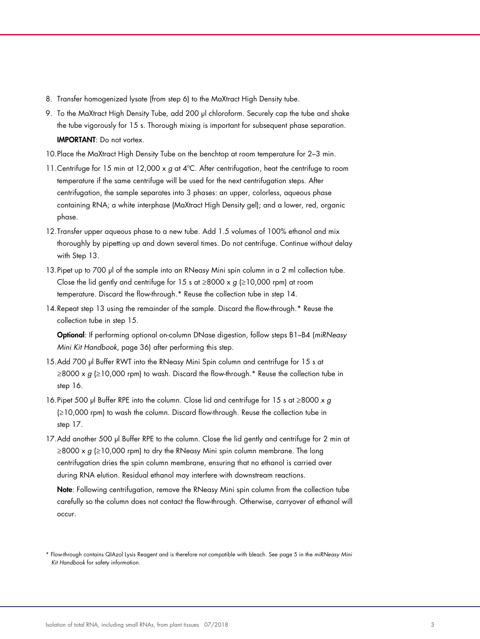- 8. Transfer homogenized lysate (from step 6) to the MaXtract High Density tube.
- 9. To the MaXtract High Density Tube, add 200 µl chloroform. Securely cap the tube and shake the tube vigorously for 15 s. Thorough mixing is important for subsequent phase separation. IMPORTANT: Do not vortex.
- 10.Place the MaXtract High Density Tube on the benchtop at room temperature for 2–3 min.
- 11. Centrifuge for 15 min at 12,000 x g at 4°C. After centrifugation, heat the centrifuge to room temperature if the same centrifuge will be used for the next centrifugation steps. After centrifugation, the sample separates into 3 phases: an upper, colorless, aqueous phase containing RNA; a white interphase (MaXtract High Density gel); and a lower, red, organic phase.
- 12.Transfer upper aqueous phase to a new tube. Add 1.5 volumes of 100% ethanol and mix thoroughly by pipetting up and down several times. Do not centrifuge. Continue without delay with Step 13.
- 13. Pipet up to 700 µl of the sample into an RNeasy Mini spin column in a 2 ml collection tube. Close the lid gently and centrifuge for 15 s at ≥8000 x  $g$  (≥10,000 rpm) at room temperature. Discard the flow-through.\* Reuse the collection tube in step 14.
- 14.Repeat step 13 using the remainder of the sample. Discard the flow-through.\* Reuse the collection tube in step 15.

Optional: If performing optional on-column DNase digestion, follow steps B1–B4 (miRNeasy Mini Kit Handbook, page 36) after performing this step.

- 15.Add 700 µl Buffer RWT into the RNeasy Mini Spin column and centrifuge for 15 s at  $\geq$ 8000 x g ( $\geq$ 10,000 rpm) to wash. Discard the flow-through.\* Reuse the collection tube in step 16.
- 16. Pipet 500 µl Buffer RPE into the column. Close lid and centrifuge for 15 s at  $\geq 8000 \times g$ (≥10,000 rpm) to wash the column. Discard flow-through. Reuse the collection tube in step 17.
- 17.Add another 500 µl Buffer RPE to the column. Close the lid gently and centrifuge for 2 min at  $\geq$ 8000 x g ( $\geq$ 10,000 rpm) to dry the RNeasy Mini spin column membrane. The long centrifugation dries the spin column membrane, ensuring that no ethanol is carried over during RNA elution. Residual ethanol may interfere with downstream reactions.

Note: Following centrifugation, remove the RNeasy Mini spin column from the collection tube carefully so the column does not contact the flow-through. Otherwise, carryover of ethanol will occur.

<sup>\*</sup> Flow-through contains QIAzol Lysis Reagent and is therefore not compatible with bleach. See page 5 in the miRNeasy Mini Kit Handbook for safety information.